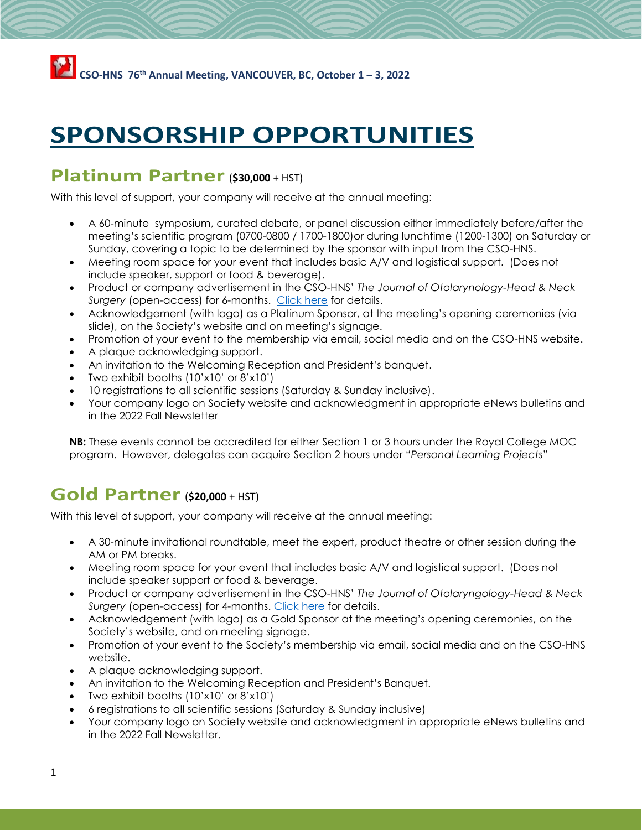# **SPONSORSHIP OPPORTUNITIES**

# **Platinum Partner**(**\$30,000** + HST)

With this level of support, your company will receive at the annual meeting:

- A 60-minute symposium, curated debate, or panel discussion either immediately before/after the meeting's scientific program (0700-0800 / 1700-1800)or during lunchtime (1200-1300) on Saturday or Sunday, covering a topic to be determined by the sponsor with input from the CSO-HNS.
- Meeting room space for your event that includes basic A/V and logistical support. (Does not include speaker, support or food & beverage).
- Product or company advertisement in the CSO-HNS' *The Journal of Otolarynology-Head & Neck Surgery* (open-access) for 6-months. [Click here](http://www.entcanada.org/wp-content/uploads/Digital-Advertising-JOTO-for-AGM-Sponsors.pdf) for details.
- Acknowledgement (with logo) as a Platinum Sponsor, at the meeting's opening ceremonies (via slide), on the Society's website and on meeting's signage.
- Promotion of your event to the membership via email, social media and on the CSO-HNS website.
- A plaque acknowledging support.
- An invitation to the Welcoming Reception and President's banquet.
- Two exhibit booths (10'x10' or 8'x10')
- 10 registrations to all scientific sessions (Saturday & Sunday inclusive).
- Your company logo on Society website and acknowledgment in appropriate *e*News bulletins and in the 2022 Fall Newsletter

**NB:** These events cannot be accredited for either Section 1 or 3 hours under the Royal College MOC program. However, delegates can acquire Section 2 hours under "*Personal Learning Projects*"

## **Gold Partner**(**\$20,000** + HST)

With this level of support, your company will receive at the annual meeting:

- A 30-minute invitational roundtable, meet the expert, product theatre or other session during the AM or PM breaks.
- Meeting room space for your event that includes basic A/V and logistical support. (Does not include speaker support or food & beverage.
- Product or company advertisement in the CSO-HNS' *The Journal of Otolaryngology-Head & Neck Surgery* (open-access) for 4-months. [Click here](http://www.entcanada.org/wp-content/uploads/Digital-Advertising-JOTO-for-AGM-Sponsors.pdf) for details.
- Acknowledgement (with logo) as a Gold Sponsor at the meeting's opening ceremonies, on the Society's website, and on meeting signage.
- Promotion of your event to the Society's membership via email, social media and on the CSO-HNS website.
- A plaque acknowledging support.
- An invitation to the Welcoming Reception and President's Banquet.
- Two exhibit booths (10'x10' or 8'x10')
- 6 registrations to all scientific sessions (Saturday & Sunday inclusive)
- Your company logo on Society website and acknowledgment in appropriate *e*News bulletins and in the 2022 Fall Newsletter.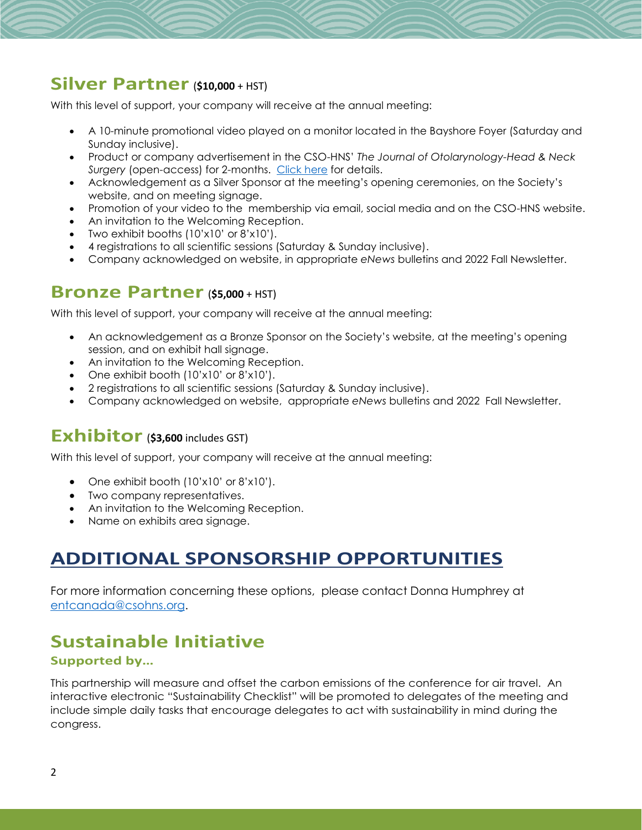## **Silver Partner**(**\$10,000** + HST)

With this level of support, your company will receive at the annual meeting:

- A 10-minute promotional video played on a monitor located in the Bayshore Foyer (Saturday and Sunday inclusive).
- Product or company advertisement in the CSO-HNS' *The Journal of Otolarynology-Head & Neck Surgery* (open-access) for 2-months. [Click here](http://www.entcanada.org/wp-content/uploads/Digital-Advertising-JOTO-for-AGM-Sponsors.pdf) for details.
- Acknowledgement as a Silver Sponsor at the meeting's opening ceremonies, on the Society's website, and on meeting signage.
- Promotion of your video to the membership via email, social media and on the CSO-HNS website.
- An invitation to the Welcoming Reception.
- Two exhibit booths (10'x10' or 8'x10').
- 4 registrations to all scientific sessions (Saturday & Sunday inclusive).
- Company acknowledged on website, in appropriate *eNews* bulletins and 2022 Fall Newsletter.

### **Bronze Partner**(**\$5,000** + HST)

With this level of support, your company will receive at the annual meeting:

- An acknowledgement as a Bronze Sponsor on the Society's website, at the meeting's opening session, and on exhibit hall signage.
- An invitation to the Welcoming Reception.
- One exhibit booth (10'x10' or 8'x10').
- 2 registrations to all scientific sessions (Saturday & Sunday inclusive).
- Company acknowledged on website, appropriate *eNews* bulletins and 2022 Fall Newsletter.

### **Exhibitor** (\$3,600 includes GST)

With this level of support, your company will receive at the annual meeting:

- One exhibit booth (10'x10' or 8'x10').
- Two company representatives.
- An invitation to the Welcoming Reception.
- Name on exhibits area signage.

# **ADDITIONAL SPONSORSHIP OPPORTUNITIES**

For more information concerning these options, please contact Donna Humphrey at [entcanada@csohns.org.](mailto:entcanada@csohns.org)

# **Sustainable Initiative**

#### **Supported by…**

This partnership will measure and offset the carbon emissions of the conference for air travel. An interactive electronic "Sustainability Checklist" will be promoted to delegates of the meeting and include simple daily tasks that encourage delegates to act with sustainability in mind during the congress.